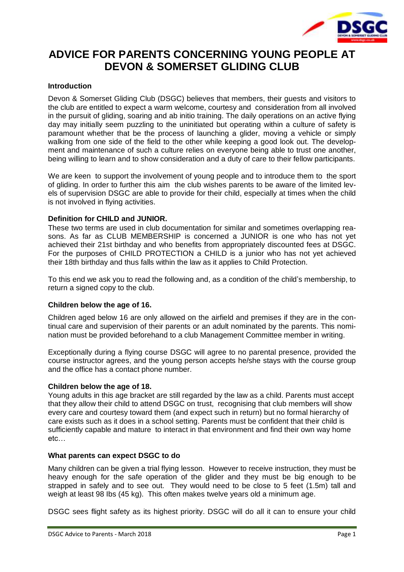

# **ADVICE FOR PARENTS CONCERNING YOUNG PEOPLE AT DEVON & SOMERSET GLIDING CLUB**

## **Introduction**

Devon & Somerset Gliding Club (DSGC) believes that members, their guests and visitors to the club are entitled to expect a warm welcome, courtesy and consideration from all involved in the pursuit of gliding, soaring and ab initio training. The daily operations on an active flying day may initially seem puzzling to the uninitiated but operating within a culture of safety is paramount whether that be the process of launching a glider, moving a vehicle or simply walking from one side of the field to the other while keeping a good look out. The development and maintenance of such a culture relies on everyone being able to trust one another, being willing to learn and to show consideration and a duty of care to their fellow participants.

We are keen to support the involvement of young people and to introduce them to the sport of gliding. In order to further this aim the club wishes parents to be aware of the limited levels of supervision DSGC are able to provide for their child, especially at times when the child is not involved in flying activities.

## **Definition for CHILD and JUNIOR.**

These two terms are used in club documentation for similar and sometimes overlapping reasons. As far as CLUB MEMBERSHIP is concerned a JUNIOR is one who has not yet achieved their 21st birthday and who benefits from appropriately discounted fees at DSGC. For the purposes of CHILD PROTECTION a CHILD is a junior who has not yet achieved their 18th birthday and thus falls within the law as it applies to Child Protection.

To this end we ask you to read the following and, as a condition of the child's membership, to return a signed copy to the club.

#### **Children below the age of 16.**

Children aged below 16 are only allowed on the airfield and premises if they are in the continual care and supervision of their parents or an adult nominated by the parents. This nomination must be provided beforehand to a club Management Committee member in writing.

Exceptionally during a flying course DSGC will agree to no parental presence, provided the course instructor agrees, and the young person accepts he/she stays with the course group and the office has a contact phone number.

#### **Children below the age of 18.**

Young adults in this age bracket are still regarded by the law as a child. Parents must accept that they allow their child to attend DSGC on trust, recognising that club members will show every care and courtesy toward them (and expect such in return) but no formal hierarchy of care exists such as it does in a school setting. Parents must be confident that their child is sufficiently capable and mature to interact in that environment and find their own way home etc…

#### **What parents can expect DSGC to do**

Many children can be given a trial flying lesson. However to receive instruction, they must be heavy enough for the safe operation of the glider and they must be big enough to be strapped in safely and to see out. They would need to be close to 5 feet (1.5m) tall and weigh at least 98 Ibs (45 kg). This often makes twelve years old a minimum age.

DSGC sees flight safety as its highest priority. DSGC will do all it can to ensure your child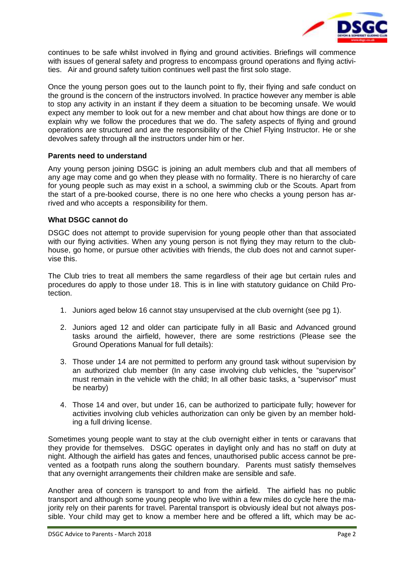

continues to be safe whilst involved in flying and ground activities. Briefings will commence with issues of general safety and progress to encompass ground operations and flying activities. Air and ground safety tuition continues well past the first solo stage.

Once the young person goes out to the launch point to fly, their flying and safe conduct on the ground is the concern of the instructors involved. In practice however any member is able to stop any activity in an instant if they deem a situation to be becoming unsafe. We would expect any member to look out for a new member and chat about how things are done or to explain why we follow the procedures that we do. The safety aspects of flying and ground operations are structured and are the responsibility of the Chief Flying Instructor. He or she devolves safety through all the instructors under him or her.

### **Parents need to understand**

Any young person joining DSGC is joining an adult members club and that all members of any age may come and go when they please with no formality. There is no hierarchy of care for young people such as may exist in a school, a swimming club or the Scouts. Apart from the start of a pre-booked course, there is no one here who checks a young person has arrived and who accepts a responsibility for them.

## **What DSGC cannot do**

DSGC does not attempt to provide supervision for young people other than that associated with our flying activities. When any young person is not flying they may return to the clubhouse, go home, or pursue other activities with friends, the club does not and cannot supervise this.

The Club tries to treat all members the same regardless of their age but certain rules and procedures do apply to those under 18. This is in line with statutory guidance on Child Protection.

- 1. Juniors aged below 16 cannot stay unsupervised at the club overnight (see pg 1).
- 2. Juniors aged 12 and older can participate fully in all Basic and Advanced ground tasks around the airfield, however, there are some restrictions (Please see the Ground Operations Manual for full details):
- 3. Those under 14 are not permitted to perform any ground task without supervision by an authorized club member (In any case involving club vehicles, the "supervisor" must remain in the vehicle with the child; In all other basic tasks, a "supervisor" must be nearby)
- 4. Those 14 and over, but under 16, can be authorized to participate fully; however for activities involving club vehicles authorization can only be given by an member holding a full driving license.

Sometimes young people want to stay at the club overnight either in tents or caravans that they provide for themselves. DSGC operates in daylight only and has no staff on duty at night. Although the airfield has gates and fences, unauthorised public access cannot be prevented as a footpath runs along the southern boundary. Parents must satisfy themselves that any overnight arrangements their children make are sensible and safe.

Another area of concern is transport to and from the airfield. The airfield has no public transport and although some young people who live within a few miles do cycle here the majority rely on their parents for travel. Parental transport is obviously ideal but not always possible. Your child may get to know a member here and be offered a lift, which may be ac-